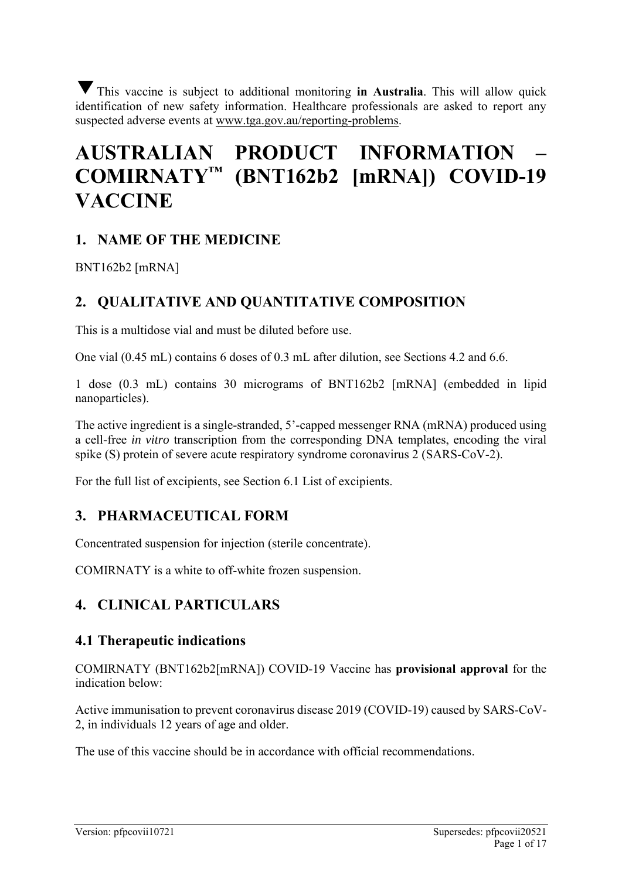This vaccine is subject to additional monitoring **in Australia**. This will allow quick ▼identification of new safety information. Healthcare professionals are asked to report any suspected adverse events at [www.tga.gov.au/reporting-problems.](http://www.tga.gov.au/reporting-problems)

# **AUSTRALIAN PRODUCT INFORMATION – COMIRNATY™ (BNT162b2 [mRNA]) COVID-19 VACCINE**

# **1. NAME OF THE MEDICINE**

BNT162b2 [mRNA]

# **2. QUALITATIVE AND QUANTITATIVE COMPOSITION**

This is a multidose vial and must be diluted before use.

One vial (0.45 mL) contains 6 doses of 0.3 mL after dilution, see Sections 4.2 and 6.6.

1 dose (0.3 mL) contains 30 micrograms of BNT162b2 [mRNA] (embedded in lipid nanoparticles).

The active ingredient is a single-stranded, 5'-capped messenger RNA (mRNA) produced using a cell-free *in vitro* transcription from the corresponding DNA templates, encoding the viral spike (S) protein of severe acute respiratory syndrome coronavirus 2 (SARS-CoV-2).

For the full list of excipients, see Section 6.1 List of excipients.

# **3. PHARMACEUTICAL FORM**

Concentrated suspension for injection (sterile concentrate).

COMIRNATY is a white to off-white frozen suspension.

# **4. CLINICAL PARTICULARS**

### **4.1 Therapeutic indications**

COMIRNATY (BNT162b2[mRNA]) COVID-19 Vaccine has **provisional approval** for the indication below:

Active immunisation to prevent coronavirus disease 2019 (COVID-19) caused by SARS-CoV-2, in individuals 12 years of age and older.

The use of this vaccine should be in accordance with official recommendations.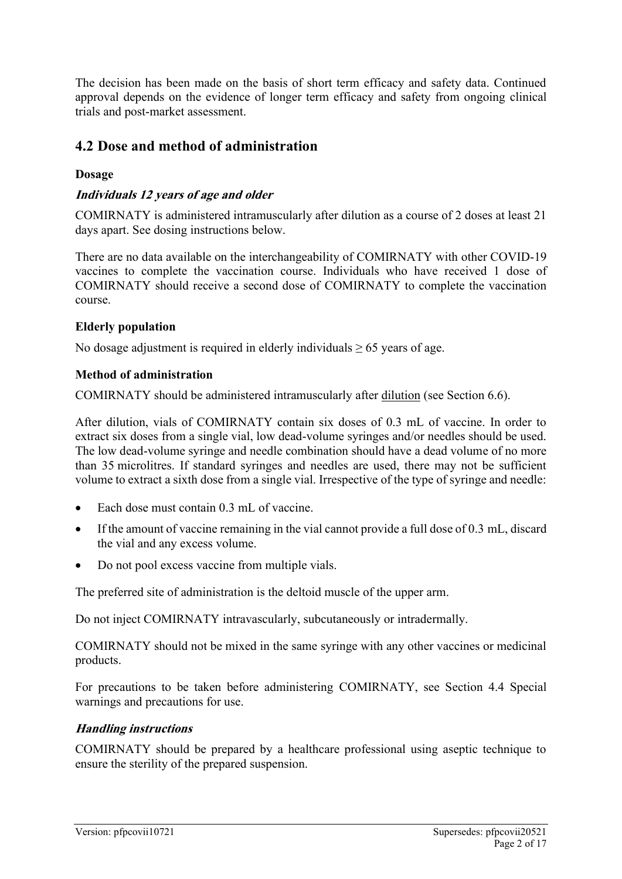The decision has been made on the basis of short term efficacy and safety data. Continued approval depends on the evidence of longer term efficacy and safety from ongoing clinical trials and post-market assessment.

# **4.2 Dose and method of administration**

#### **Dosage**

### **Individuals 12 years of age and older**

COMIRNATY is administered intramuscularly after dilution as a course of 2 doses at least 21 days apart. See dosing instructions below.

There are no data available on the interchangeability of COMIRNATY with other COVID-19 vaccines to complete the vaccination course. Individuals who have received 1 dose of COMIRNATY should receive a second dose of COMIRNATY to complete the vaccination course.

#### **Elderly population**

No dosage adjustment is required in elderly individuals  $\geq 65$  years of age.

#### **Method of administration**

COMIRNATY should be administered intramuscularly after dilution (see Section 6.6).

After dilution, vials of COMIRNATY contain six doses of 0.3 mL of vaccine. In order to extract six doses from a single vial, low dead-volume syringes and/or needles should be used. The low dead-volume syringe and needle combination should have a dead volume of no more than 35 microlitres. If standard syringes and needles are used, there may not be sufficient volume to extract a sixth dose from a single vial. Irrespective of the type of syringe and needle:

- Each dose must contain 0.3 mL of vaccine.
- If the amount of vaccine remaining in the vial cannot provide a full dose of 0.3 mL, discard the vial and any excess volume.
- Do not pool excess vaccine from multiple vials.

The preferred site of administration is the deltoid muscle of the upper arm.

Do not inject COMIRNATY intravascularly, subcutaneously or intradermally.

COMIRNATY should not be mixed in the same syringe with any other vaccines or medicinal products.

For precautions to be taken before administering COMIRNATY, see Section 4.4 Special warnings and precautions for use.

### **Handling instructions**

COMIRNATY should be prepared by a healthcare professional using aseptic technique to ensure the sterility of the prepared suspension.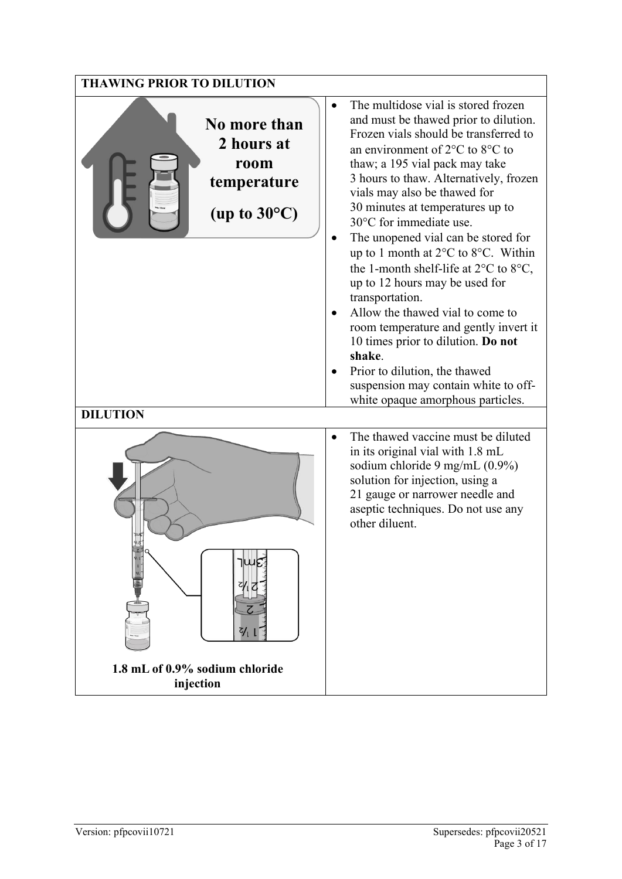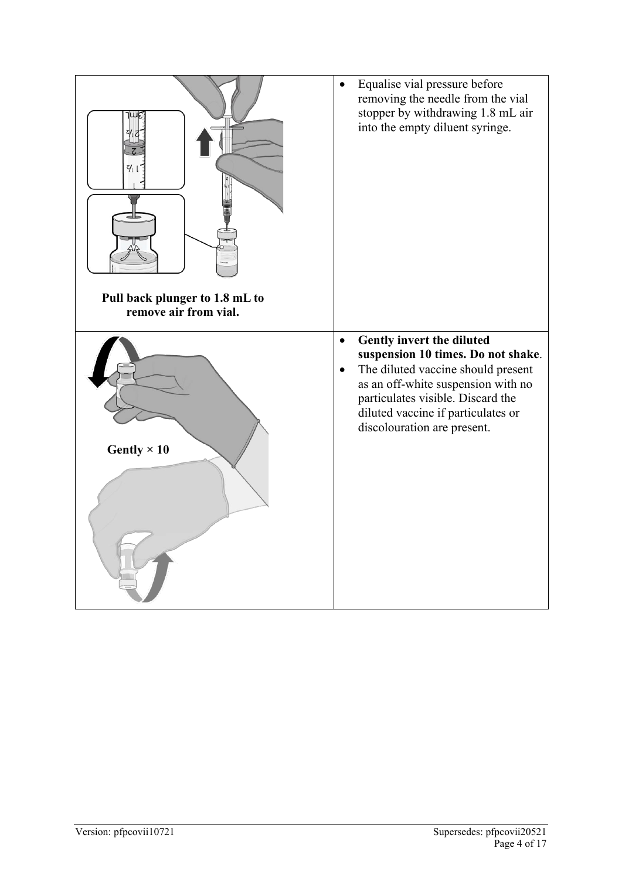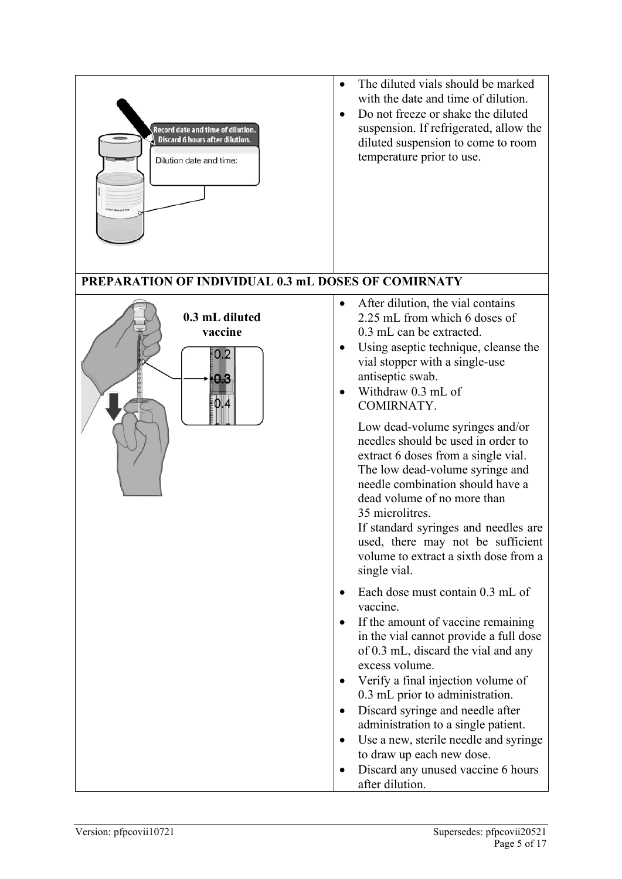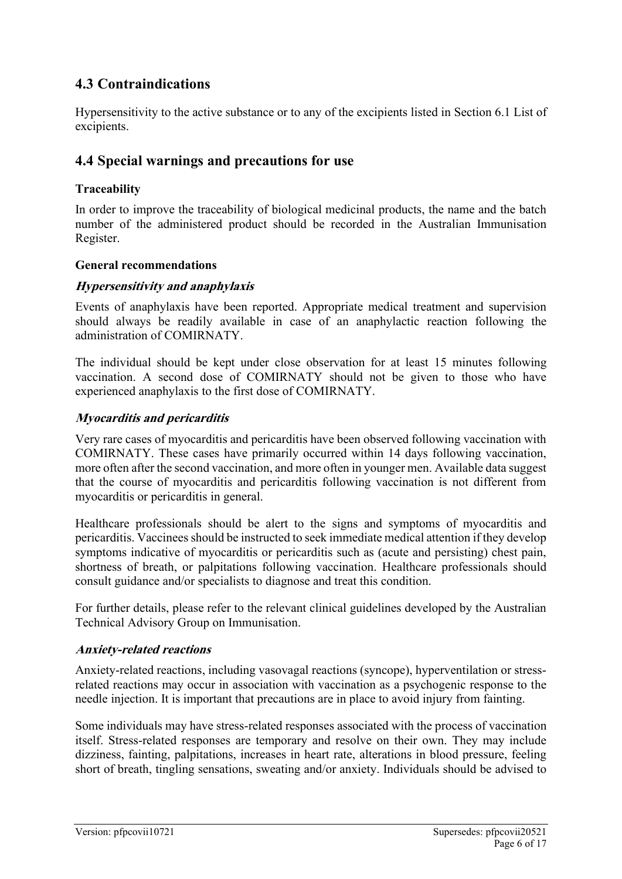# **4.3 Contraindications**

Hypersensitivity to the active substance or to any of the excipients listed in Section 6.1 List of excipients.

# **4.4 Special warnings and precautions for use**

#### **Traceability**

In order to improve the traceability of biological medicinal products, the name and the batch number of the administered product should be recorded in the Australian Immunisation Register.

#### **General recommendations**

### **Hypersensitivity and anaphylaxis**

Events of anaphylaxis have been reported. Appropriate medical treatment and supervision should always be readily available in case of an anaphylactic reaction following the administration of COMIRNATY.

The individual should be kept under close observation for at least 15 minutes following vaccination. A second dose of COMIRNATY should not be given to those who have experienced anaphylaxis to the first dose of COMIRNATY.

#### **Myocarditis and pericarditis**

Very rare cases of myocarditis and pericarditis have been observed following vaccination with COMIRNATY. These cases have primarily occurred within 14 days following vaccination, more often after the second vaccination, and more often in younger men. Available data suggest that the course of myocarditis and pericarditis following vaccination is not different from myocarditis or pericarditis in general.

Healthcare professionals should be alert to the signs and symptoms of myocarditis and pericarditis. Vaccinees should be instructed to seek immediate medical attention if they develop symptoms indicative of myocarditis or pericarditis such as (acute and persisting) chest pain, shortness of breath, or palpitations following vaccination. Healthcare professionals should consult guidance and/or specialists to diagnose and treat this condition.

For further details, please refer to the relevant clinical guidelines developed by the Australian Technical Advisory Group on Immunisation.

#### **Anxiety-related reactions**

Anxiety-related reactions, including vasovagal reactions (syncope), hyperventilation or stress‐ related reactions may occur in association with vaccination as a psychogenic response to the needle injection. It is important that precautions are in place to avoid injury from fainting.

Some individuals may have stress-related responses associated with the process of vaccination itself. Stress-related responses are temporary and resolve on their own. They may include dizziness, fainting, palpitations, increases in heart rate, alterations in blood pressure, feeling short of breath, tingling sensations, sweating and/or anxiety. Individuals should be advised to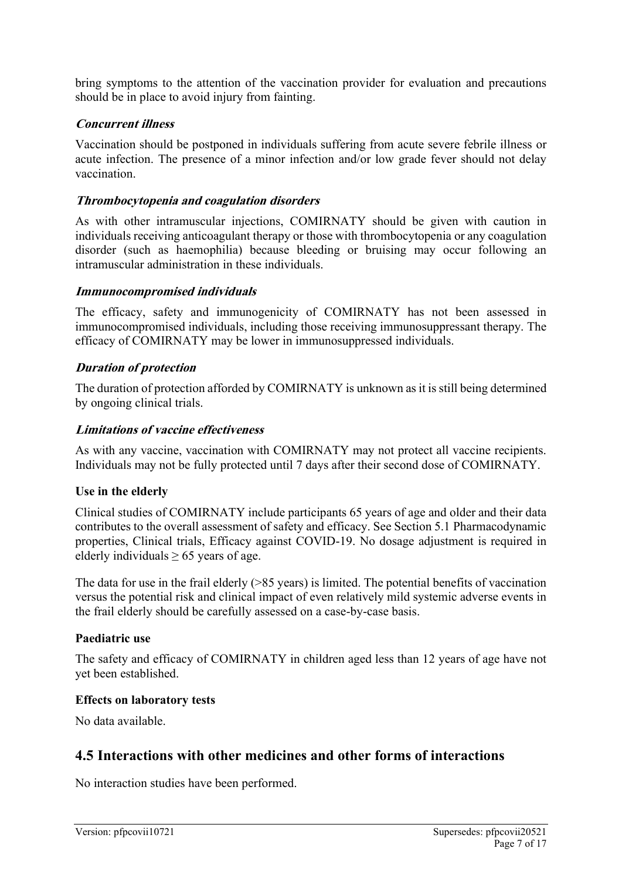bring symptoms to the attention of the vaccination provider for evaluation and precautions should be in place to avoid injury from fainting.

#### **Concurrent illness**

Vaccination should be postponed in individuals suffering from acute severe febrile illness or acute infection. The presence of a minor infection and/or low grade fever should not delay vaccination.

#### **Thrombocytopenia and coagulation disorders**

As with other intramuscular injections, COMIRNATY should be given with caution in individuals receiving anticoagulant therapy or those with thrombocytopenia or any coagulation disorder (such as haemophilia) because bleeding or bruising may occur following an intramuscular administration in these individuals.

#### **Immunocompromised individuals**

The efficacy, safety and immunogenicity of COMIRNATY has not been assessed in immunocompromised individuals, including those receiving immunosuppressant therapy. The efficacy of COMIRNATY may be lower in immunosuppressed individuals.

#### **Duration of protection**

The duration of protection afforded by COMIRNATY is unknown as it is still being determined by ongoing clinical trials.

#### **Limitations of vaccine effectiveness**

As with any vaccine, vaccination with COMIRNATY may not protect all vaccine recipients. Individuals may not be fully protected until 7 days after their second dose of COMIRNATY.

#### **Use in the elderly**

Clinical studies of COMIRNATY include participants 65 years of age and older and their data contributes to the overall assessment of safety and efficacy. See Section 5.1 Pharmacodynamic properties, Clinical trials, Efficacy against COVID-19. No dosage adjustment is required in elderly individuals  $\geq 65$  years of age.

The data for use in the frail elderly  $(>85$  years) is limited. The potential benefits of vaccination versus the potential risk and clinical impact of even relatively mild systemic adverse events in the frail elderly should be carefully assessed on a case-by-case basis.

#### **Paediatric use**

The safety and efficacy of COMIRNATY in children aged less than 12 years of age have not yet been established.

#### **Effects on laboratory tests**

No data available.

### **4.5 Interactions with other medicines and other forms of interactions**

No interaction studies have been performed.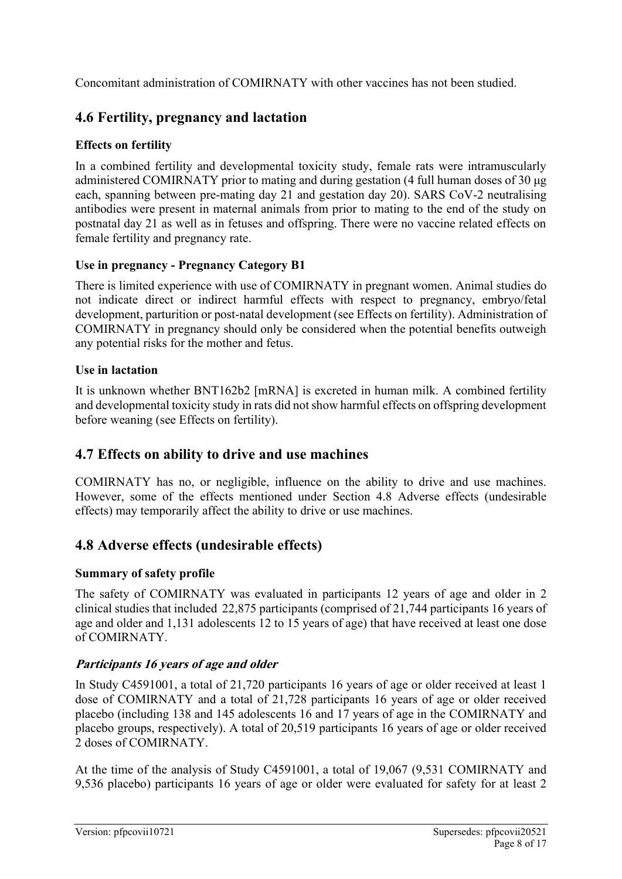Concomitant administration of COMIRNATY with other vaccines has not been studied.

# **4.6 Fertility, pregnancy and lactation**

### **Effects on fertility**

In a combined fertility and developmental toxicity study, female rats were intramuscularly administered COMIRNATY prior to mating and during gestation (4 full human doses of 30 μg each, spanning between pre-mating day 21 and gestation day 20). SARS CoV-2 neutralising antibodies were present in maternal animals from prior to mating to the end of the study on postnatal day 21 as well as in fetuses and offspring. There were no vaccine related effects on female fertility and pregnancy rate.

### **Use in pregnancy - Pregnancy Category B1**

There is limited experience with use of COMIRNATY in pregnant women. Animal studies do not indicate direct or indirect harmful effects with respect to pregnancy, embryo/fetal development, parturition or post-natal development (see Effects on fertility). Administration of COMIRNATY in pregnancy should only be considered when the potential benefits outweigh any potential risks for the mother and fetus.

### **Use in lactation**

It is unknown whether BNT162b2 [mRNA] is excreted in human milk. A combined fertility and developmental toxicity study in rats did not show harmful effects on offspring development before weaning (see Effects on fertility).

# **4.7 Effects on ability to drive and use machines**

COMIRNATY has no, or negligible, influence on the ability to drive and use machines. However, some of the effects mentioned under Section 4.8 Adverse effects (undesirable effects) may temporarily affect the ability to drive or use machines.

# **4.8 Adverse effects (undesirable effects)**

### **Summary of safety profile**

The safety of COMIRNATY was evaluated in participants 12 years of age and older in 2 clinical studies that included 22,875 participants (comprised of 21,744 participants 16 years of age and older and 1,131 adolescents 12 to 15 years of age) that have received at least one dose of COMIRNATY.

### **Participants 16 years of age and older**

In Study C4591001, a total of 21,720 participants 16 years of age or older received at least 1 dose of COMIRNATY and a total of 21,728 participants 16 years of age or older received placebo (including 138 and 145 adolescents 16 and 17 years of age in the COMIRNATY and placebo groups, respectively). A total of 20,519 participants 16 years of age or older received 2 doses of COMIRNATY.

At the time of the analysis of Study C4591001, a total of 19,067 (9,531 COMIRNATY and 9,536 placebo) participants 16 years of age or older were evaluated for safety for at least 2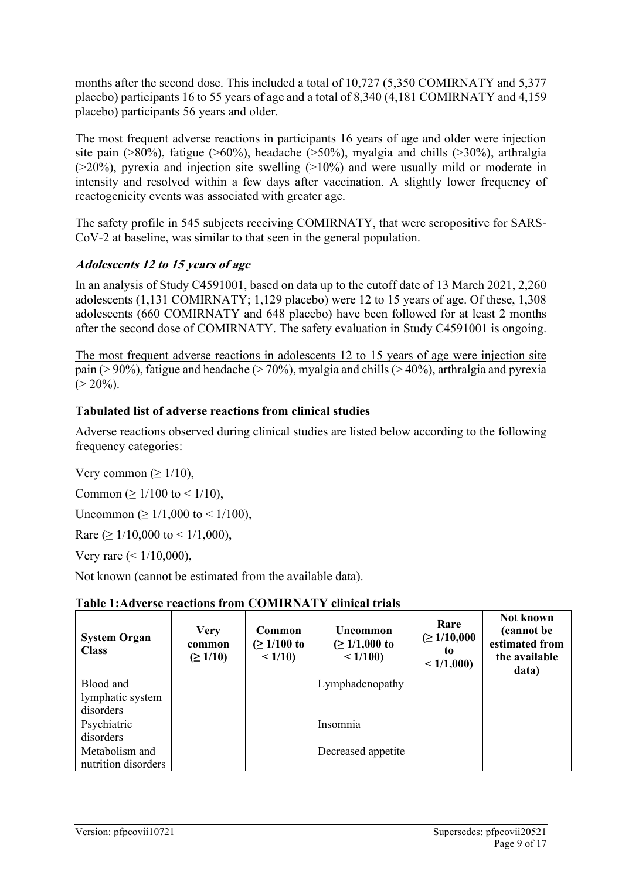months after the second dose. This included a total of 10,727 (5,350 COMIRNATY and 5,377 placebo) participants 16 to 55 years of age and a total of 8,340 (4,181 COMIRNATY and 4,159 placebo) participants 56 years and older.

The most frequent adverse reactions in participants 16 years of age and older were injection site pain (>80%), fatigue (>60%), headache (>50%), myalgia and chills (>30%), arthralgia (>20%), pyrexia and injection site swelling (>10%) and were usually mild or moderate in intensity and resolved within a few days after vaccination. A slightly lower frequency of reactogenicity events was associated with greater age.

The safety profile in 545 subjects receiving COMIRNATY, that were seropositive for SARS-CoV-2 at baseline, was similar to that seen in the general population.

### **Adolescents 12 to 15 years of age**

In an analysis of Study C4591001, based on data up to the cutoff date of 13 March 2021, 2,260 adolescents (1,131 COMIRNATY; 1,129 placebo) were 12 to 15 years of age. Of these, 1,308 adolescents (660 COMIRNATY and 648 placebo) have been followed for at least 2 months after the second dose of COMIRNATY. The safety evaluation in Study C4591001 is ongoing.

The most frequent adverse reactions in adolescents 12 to 15 years of age were injection site pain ( $> 90\%$ ), fatigue and headache ( $> 70\%$ ), myalgia and chills ( $> 40\%$ ), arthralgia and pyrexia  $(> 20\%)$ .

### **Tabulated list of adverse reactions from clinical studies**

Adverse reactions observed during clinical studies are listed below according to the following frequency categories:

Very common ( $\geq 1/10$ ),

Common ( $\geq 1/100$  to < 1/10),

Uncommon ( $\geq 1/1,000$  to < 1/100),

Rare ( $\geq 1/10,000$  to < 1/1,000),

Very rare  $(< 1/10,000)$ ,

Not known (cannot be estimated from the available data).

| Table 1: Adverse reactions from COMIRNATY clinical trials |  |  |
|-----------------------------------------------------------|--|--|
|-----------------------------------------------------------|--|--|

| <b>System Organ</b><br><b>Class</b> | <b>Very</b><br>common<br>$( \geq 1/10)$ | Common<br>$( \geq 1/100 \text{ to }$<br>< 1/10 | Uncommon<br>$( \geq 1/1,000 \text{ to }$<br>< 1/100 | Rare<br>$\geq 1/10,000$<br>to.<br>< 1/1,000 | Not known<br>(cannot be)<br>estimated from<br>the available<br>data) |
|-------------------------------------|-----------------------------------------|------------------------------------------------|-----------------------------------------------------|---------------------------------------------|----------------------------------------------------------------------|
| Blood and                           |                                         |                                                | Lymphadenopathy                                     |                                             |                                                                      |
| lymphatic system                    |                                         |                                                |                                                     |                                             |                                                                      |
| disorders                           |                                         |                                                |                                                     |                                             |                                                                      |
| Psychiatric                         |                                         |                                                | Insomnia                                            |                                             |                                                                      |
| disorders                           |                                         |                                                |                                                     |                                             |                                                                      |
| Metabolism and                      |                                         |                                                | Decreased appetite                                  |                                             |                                                                      |
| nutrition disorders                 |                                         |                                                |                                                     |                                             |                                                                      |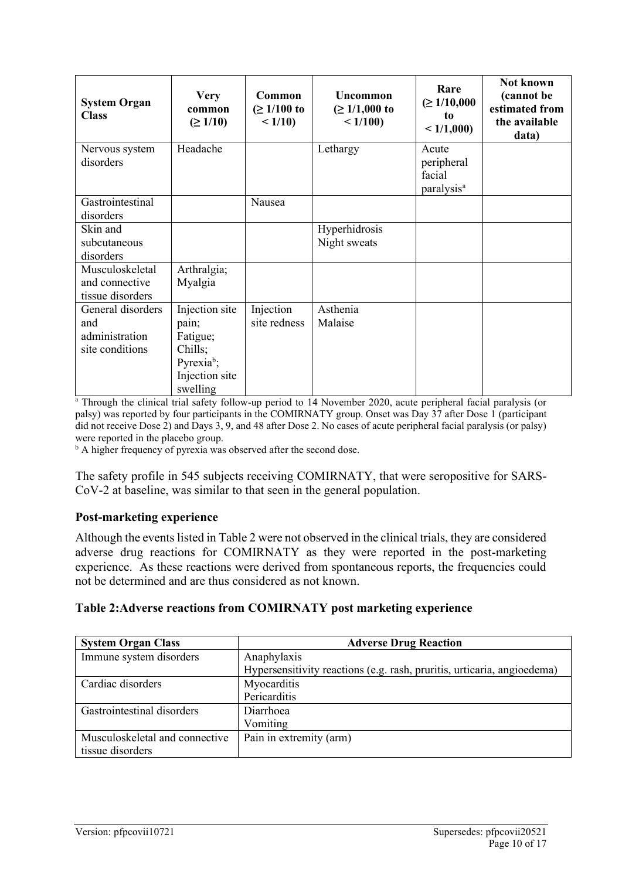| <b>System Organ</b><br><b>Class</b>                           | <b>Very</b><br>common<br>$( \geq 1/10)$                                                                | Common<br>$( \geq 1/100 \text{ to }$<br>< 1/10 | Uncommon<br>$( \geq 1/1,000 \text{ to }$<br>< 1/100 | Rare<br>$(\geq 1/10,000)$<br>to.<br>< 1/1,000           | Not known<br>(cannot be<br>estimated from<br>the available<br>data) |
|---------------------------------------------------------------|--------------------------------------------------------------------------------------------------------|------------------------------------------------|-----------------------------------------------------|---------------------------------------------------------|---------------------------------------------------------------------|
| Nervous system<br>disorders                                   | Headache                                                                                               |                                                | Lethargy                                            | Acute<br>peripheral<br>facial<br>paralysis <sup>a</sup> |                                                                     |
| Gastrointestinal<br>disorders                                 |                                                                                                        | Nausea                                         |                                                     |                                                         |                                                                     |
| Skin and<br>subcutaneous<br>disorders                         |                                                                                                        |                                                | Hyperhidrosis<br>Night sweats                       |                                                         |                                                                     |
| Musculoskeletal<br>and connective<br>tissue disorders         | Arthralgia;<br>Myalgia                                                                                 |                                                |                                                     |                                                         |                                                                     |
| General disorders<br>and<br>administration<br>site conditions | Injection site<br>pain;<br>Fatigue;<br>Chills;<br>Pyrexia <sup>b</sup> ;<br>Injection site<br>swelling | Injection<br>site redness                      | Asthenia<br>Malaise                                 |                                                         |                                                                     |

<sup>a</sup> Through the clinical trial safety follow-up period to 14 November 2020, acute peripheral facial paralysis (or palsy) was reported by four participants in the COMIRNATY group. Onset was Day 37 after Dose 1 (participant did not receive Dose 2) and Days 3, 9, and 48 after Dose 2. No cases of acute peripheral facial paralysis (or palsy) were reported in the placebo group.

<sup>b</sup> A higher frequency of pyrexia was observed after the second dose.

The safety profile in 545 subjects receiving COMIRNATY, that were seropositive for SARS-CoV-2 at baseline, was similar to that seen in the general population.

#### **Post-marketing experience**

Although the events listed in Table 2 were not observed in the clinical trials, they are considered adverse drug reactions for COMIRNATY as they were reported in the post-marketing experience. As these reactions were derived from spontaneous reports, the frequencies could not be determined and are thus considered as not known.

#### **Table 2:Adverse reactions from COMIRNATY post marketing experience**

| <b>System Organ Class</b>      | <b>Adverse Drug Reaction</b>                                            |
|--------------------------------|-------------------------------------------------------------------------|
| Immune system disorders        | Anaphylaxis                                                             |
|                                | Hypersensitivity reactions (e.g. rash, pruritis, urticaria, angioedema) |
| Cardiac disorders              | Myocarditis                                                             |
|                                | Pericarditis                                                            |
| Gastrointestinal disorders     | Diarrhoea                                                               |
|                                | Vomiting                                                                |
| Musculoskeletal and connective | Pain in extremity (arm)                                                 |
| tissue disorders               |                                                                         |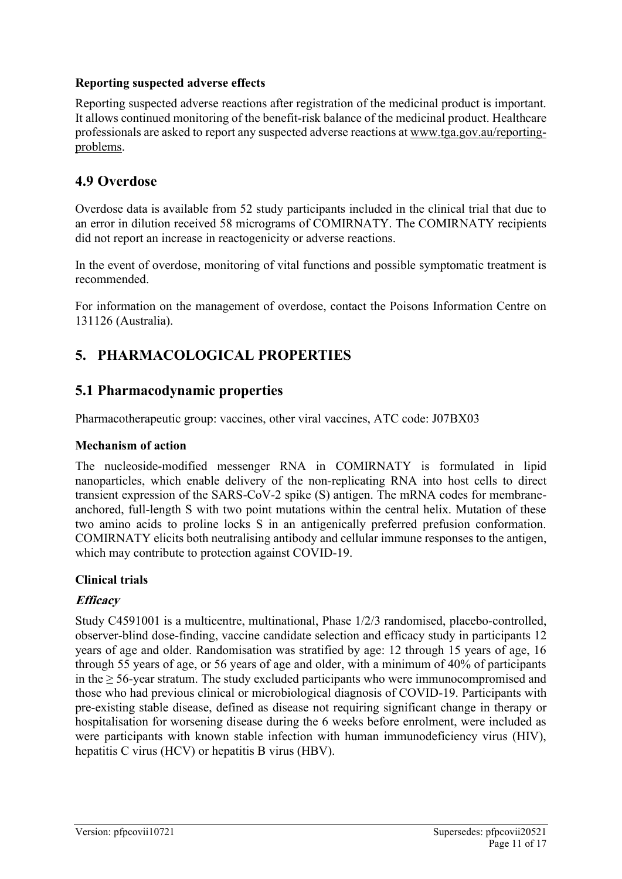#### **Reporting suspected adverse effects**

Reporting suspected adverse reactions after registration of the medicinal product is important. It allows continued monitoring of the benefit-risk balance of the medicinal product. Healthcare professionals are asked to report any suspected adverse reactions at [www.tga.gov.au/reporting](http://www.tga.gov.au/reporting-problems)[problems.](http://www.tga.gov.au/reporting-problems)

### **4.9 Overdose**

Overdose data is available from 52 study participants included in the clinical trial that due to an error in dilution received 58 micrograms of COMIRNATY. The COMIRNATY recipients did not report an increase in reactogenicity or adverse reactions.

In the event of overdose, monitoring of vital functions and possible symptomatic treatment is recommended.

For information on the management of overdose, contact the Poisons Information Centre on 131126 (Australia).

# **5. PHARMACOLOGICAL PROPERTIES**

### **5.1 Pharmacodynamic properties**

Pharmacotherapeutic group: vaccines, other viral vaccines, ATC code: J07BX03

#### **Mechanism of action**

The nucleoside-modified messenger RNA in COMIRNATY is formulated in lipid nanoparticles, which enable delivery of the non-replicating RNA into host cells to direct transient expression of the SARS-CoV-2 spike (S) antigen. The mRNA codes for membraneanchored, full-length S with two point mutations within the central helix. Mutation of these two amino acids to proline locks S in an antigenically preferred prefusion conformation. COMIRNATY elicits both neutralising antibody and cellular immune responses to the antigen, which may contribute to protection against COVID-19.

#### **Clinical trials**

### **Efficacy**

Study C4591001 is a multicentre, multinational, Phase 1/2/3 randomised, placebo-controlled, observer-blind dose-finding, vaccine candidate selection and efficacy study in participants 12 years of age and older. Randomisation was stratified by age: 12 through 15 years of age, 16 through 55 years of age, or 56 years of age and older, with a minimum of 40% of participants in the  $\geq$  56-year stratum. The study excluded participants who were immunocompromised and those who had previous clinical or microbiological diagnosis of COVID-19. Participants with pre-existing stable disease, defined as disease not requiring significant change in therapy or hospitalisation for worsening disease during the 6 weeks before enrolment, were included as were participants with known stable infection with human immunodeficiency virus (HIV), hepatitis C virus (HCV) or hepatitis B virus (HBV).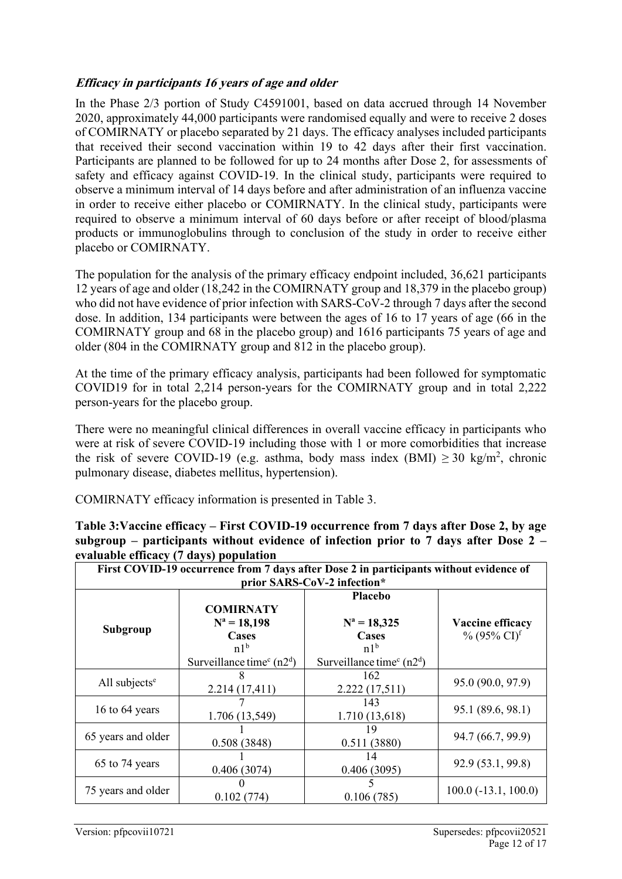### **Efficacy in participants 16 years of age and older**

In the Phase 2/3 portion of Study C4591001, based on data accrued through 14 November 2020, approximately 44,000 participants were randomised equally and were to receive 2 doses of COMIRNATY or placebo separated by 21 days. The efficacy analyses included participants that received their second vaccination within 19 to 42 days after their first vaccination. Participants are planned to be followed for up to 24 months after Dose 2, for assessments of safety and efficacy against COVID-19. In the clinical study, participants were required to observe a minimum interval of 14 days before and after administration of an influenza vaccine in order to receive either placebo or COMIRNATY. In the clinical study, participants were required to observe a minimum interval of 60 days before or after receipt of blood/plasma products or immunoglobulins through to conclusion of the study in order to receive either placebo or COMIRNATY.

The population for the analysis of the primary efficacy endpoint included, 36,621 participants 12 years of age and older (18,242 in the COMIRNATY group and 18,379 in the placebo group) who did not have evidence of prior infection with SARS-CoV-2 through 7 days after the second dose. In addition, 134 participants were between the ages of 16 to 17 years of age (66 in the COMIRNATY group and 68 in the placebo group) and 1616 participants 75 years of age and older (804 in the COMIRNATY group and 812 in the placebo group).

At the time of the primary efficacy analysis, participants had been followed for symptomatic COVID19 for in total 2,214 person-years for the COMIRNATY group and in total 2,222 person-years for the placebo group.

There were no meaningful clinical differences in overall vaccine efficacy in participants who were at risk of severe COVID-19 including those with 1 or more comorbidities that increase the risk of severe COVID-19 (e.g. asthma, body mass index  $(BMI) \ge 30$  kg/m<sup>2</sup>, chronic pulmonary disease, diabetes mellitus, hypertension).

COMIRNATY efficacy information is presented in Table 3.

| First COVID-19 occurrence from 7 days after Dose 2 in participants without evidence of<br>prior SARS-CoV-2 infection* |                                                                                                                     |                                                                                                                   |                                                |
|-----------------------------------------------------------------------------------------------------------------------|---------------------------------------------------------------------------------------------------------------------|-------------------------------------------------------------------------------------------------------------------|------------------------------------------------|
| Subgroup                                                                                                              | <b>COMIRNATY</b><br>$N^a = 18,198$<br>Cases<br>n1 <sup>b</sup><br>Surveillance time <sup>c</sup> (n2 <sup>d</sup> ) | <b>Placebo</b><br>$N^a = 18,325$<br>Cases<br>n1 <sup>b</sup><br>Surveillance time <sup>c</sup> (n2 <sup>d</sup> ) | Vaccine efficacy<br>$\%$ (95% CI) <sup>f</sup> |
| All subjects <sup>e</sup>                                                                                             | 2.214(17,411)                                                                                                       | 162<br>2.222(17,511)                                                                                              | 95.0 (90.0, 97.9)                              |
| 16 to 64 years                                                                                                        | 1.706 (13,549)                                                                                                      | 143<br>1.710 (13,618)                                                                                             | 95.1 (89.6, 98.1)                              |
| 65 years and older                                                                                                    | 0.508(3848)                                                                                                         | 19<br>0.511(3880)                                                                                                 | 94.7 (66.7, 99.9)                              |
| 65 to 74 years                                                                                                        | 0.406(3074)                                                                                                         | 14<br>0.406(3095)                                                                                                 | 92.9 (53.1, 99.8)                              |
| 75 years and older                                                                                                    | 0.102(774)                                                                                                          | 0.106(785)                                                                                                        | $100.0$ ( $-13.1$ , $100.0$ )                  |

| Table 3: Vaccine efficacy – First COVID-19 occurrence from 7 days after Dose 2, by age |
|----------------------------------------------------------------------------------------|
| subgroup – participants without evidence of infection prior to 7 days after Dose 2 –   |
| evaluable efficacy (7 days) population                                                 |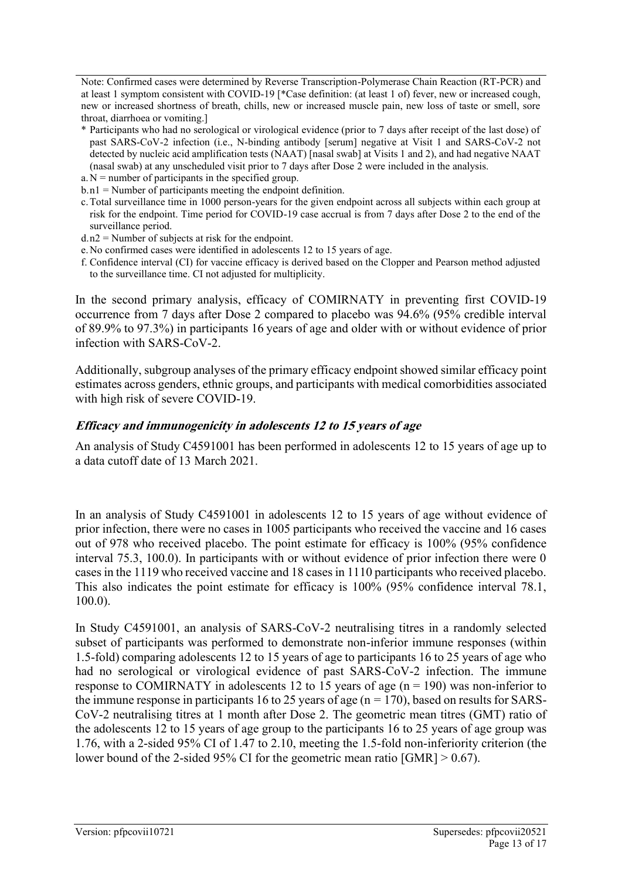Note: Confirmed cases were determined by Reverse Transcription-Polymerase Chain Reaction (RT-PCR) and at least 1 symptom consistent with COVID-19 [\*Case definition: (at least 1 of) fever, new or increased cough, new or increased shortness of breath, chills, new or increased muscle pain, new loss of taste or smell, sore throat, diarrhoea or vomiting.]

- \* Participants who had no serological or virological evidence (prior to 7 days after receipt of the last dose) of past SARS-CoV-2 infection (i.e., N-binding antibody [serum] negative at Visit 1 and SARS-CoV-2 not detected by nucleic acid amplification tests (NAAT) [nasal swab] at Visits 1 and 2), and had negative NAAT (nasal swab) at any unscheduled visit prior to 7 days after Dose 2 were included in the analysis.
- $a. N =$  number of participants in the specified group.
- b.n1 = Number of participants meeting the endpoint definition.
- c.Total surveillance time in 1000 person-years for the given endpoint across all subjects within each group at risk for the endpoint. Time period for COVID-19 case accrual is from 7 days after Dose 2 to the end of the surveillance period.
- $d \cdot n2$  = Number of subjects at risk for the endpoint.
- e.No confirmed cases were identified in adolescents 12 to 15 years of age.
- f. Confidence interval (CI) for vaccine efficacy is derived based on the Clopper and Pearson method adjusted to the surveillance time. CI not adjusted for multiplicity.

In the second primary analysis, efficacy of COMIRNATY in preventing first COVID-19 occurrence from 7 days after Dose 2 compared to placebo was 94.6% (95% credible interval of 89.9% to 97.3%) in participants 16 years of age and older with or without evidence of prior infection with SARS-CoV-2.

Additionally, subgroup analyses of the primary efficacy endpoint showed similar efficacy point estimates across genders, ethnic groups, and participants with medical comorbidities associated with high risk of severe COVID-19.

#### **Efficacy and immunogenicity in adolescents 12 to 15 years of age**

An analysis of Study C4591001 has been performed in adolescents 12 to 15 years of age up to a data cutoff date of 13 March 2021.

In an analysis of Study C4591001 in adolescents 12 to 15 years of age without evidence of prior infection, there were no cases in 1005 participants who received the vaccine and 16 cases out of 978 who received placebo. The point estimate for efficacy is 100% (95% confidence interval 75.3, 100.0). In participants with or without evidence of prior infection there were 0 cases in the 1119 who received vaccine and 18 cases in 1110 participants who received placebo. This also indicates the point estimate for efficacy is 100% (95% confidence interval 78.1, 100.0).

In Study C4591001, an analysis of SARS-CoV-2 neutralising titres in a randomly selected subset of participants was performed to demonstrate non-inferior immune responses (within 1.5-fold) comparing adolescents 12 to 15 years of age to participants 16 to 25 years of age who had no serological or virological evidence of past SARS-CoV-2 infection. The immune response to COMIRNATY in adolescents 12 to 15 years of age  $(n = 190)$  was non-inferior to the immune response in participants 16 to 25 years of age ( $n = 170$ ), based on results for SARS-CoV-2 neutralising titres at 1 month after Dose 2. The geometric mean titres (GMT) ratio of the adolescents 12 to 15 years of age group to the participants 16 to 25 years of age group was 1.76, with a 2-sided 95% CI of 1.47 to 2.10, meeting the 1.5-fold non-inferiority criterion (the lower bound of the 2-sided 95% CI for the geometric mean ratio [GMR] > 0.67).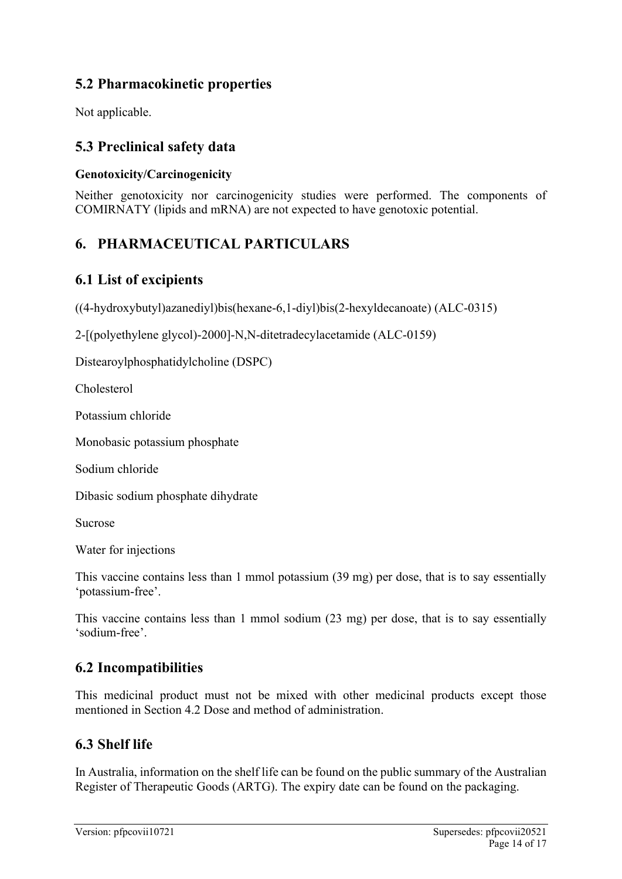# **5.2 Pharmacokinetic properties**

Not applicable.

# **5.3 Preclinical safety data**

### **Genotoxicity/Carcinogenicity**

Neither genotoxicity nor carcinogenicity studies were performed. The components of COMIRNATY (lipids and mRNA) are not expected to have genotoxic potential.

# **6. PHARMACEUTICAL PARTICULARS**

# **6.1 List of excipients**

((4-hydroxybutyl)azanediyl)bis(hexane-6,1-diyl)bis(2-hexyldecanoate) (ALC-0315)

2-[(polyethylene glycol)-2000]-N,N-ditetradecylacetamide (ALC-0159)

Distearoylphosphatidylcholine (DSPC)

Cholesterol

Potassium chloride

Monobasic potassium phosphate

Sodium chloride

Dibasic sodium phosphate dihydrate

Sucrose

Water for injections

This vaccine contains less than 1 mmol potassium (39 mg) per dose, that is to say essentially 'potassium-free'.

This vaccine contains less than 1 mmol sodium (23 mg) per dose, that is to say essentially 'sodium‑free'.

# **6.2 Incompatibilities**

This medicinal product must not be mixed with other medicinal products except those mentioned in Section 4.2 Dose and method of administration.

### **6.3 Shelf life**

In Australia, information on the shelf life can be found on the public summary of the Australian Register of Therapeutic Goods (ARTG). The expiry date can be found on the packaging.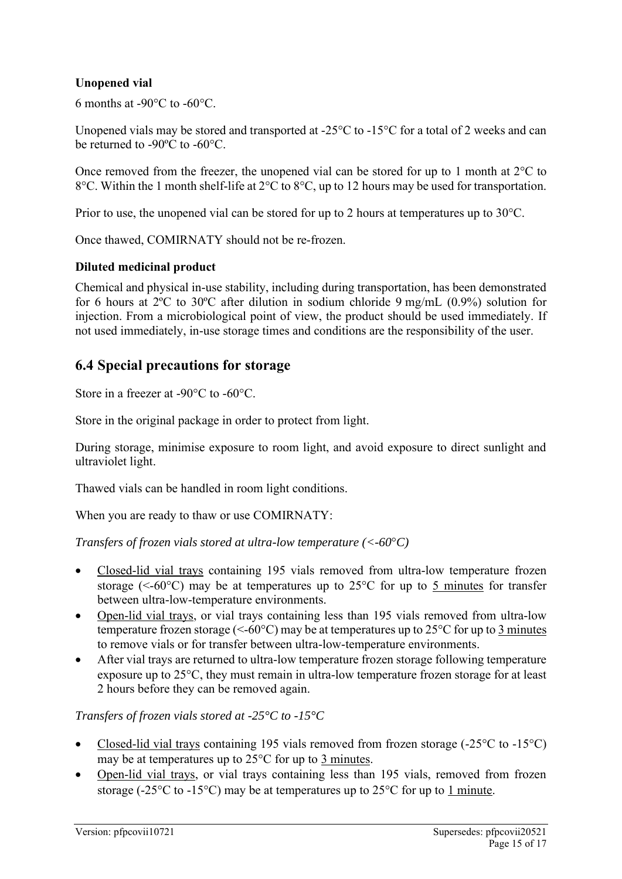#### **Unopened vial**

6 months at  $-90^{\circ}$ C to  $-60^{\circ}$ C.

Unopened vials may be stored and transported at -25°C to -15°C for a total of 2 weeks and can be returned to -90ºC to -60°C.

Once removed from the freezer, the unopened vial can be stored for up to 1 month at 2°C to 8°C. Within the 1 month shelf-life at 2°C to 8°C, up to 12 hours may be used for transportation.

Prior to use, the unopened vial can be stored for up to 2 hours at temperatures up to 30°C.

Once thawed, COMIRNATY should not be re-frozen.

#### **Diluted medicinal product**

Chemical and physical in-use stability, including during transportation, has been demonstrated for 6 hours at 2ºC to 30ºC after dilution in sodium chloride 9 mg/mL (0.9%) solution for injection. From a microbiological point of view, the product should be used immediately. If not used immediately, in-use storage times and conditions are the responsibility of the user.

### **6.4 Special precautions for storage**

Store in a freezer at -90°C to -60°C.

Store in the original package in order to protect from light.

During storage, minimise exposure to room light, and avoid exposure to direct sunlight and ultraviolet light.

Thawed vials can be handled in room light conditions.

When you are ready to thaw or use COMIRNATY:

*Transfers of frozen vials stored at ultra-low temperature (<-60*°*C)*

- Closed-lid vial trays containing 195 vials removed from ultra-low temperature frozen storage ( $\leq -60^{\circ}$ C) may be at temperatures up to 25 $^{\circ}$ C for up to 5 minutes for transfer between ultra-low-temperature environments.
- Open-lid vial trays, or vial trays containing less than 195 vials removed from ultra-low temperature frozen storage ( $\leq -60^{\circ}$ C) may be at temperatures up to 25 $^{\circ}$ C for up to 3 minutes to remove vials or for transfer between ultra-low-temperature environments.
- After vial trays are returned to ultra-low temperature frozen storage following temperature exposure up to  $25^{\circ}$ C, they must remain in ultra-low temperature frozen storage for at least 2 hours before they can be removed again.

#### *Transfers of frozen vials stored at -25°C to -15°C*

- Closed-lid vial trays containing 195 vials removed from frozen storage  $(-25^{\circ}C)$  to  $-15^{\circ}C$ ) may be at temperatures up to  $25^{\circ}$ C for up to  $3$  minutes.
- Open-lid vial trays, or vial trays containing less than 195 vials, removed from frozen storage (-25 $\degree$ C to -15 $\degree$ C) may be at temperatures up to 25 $\degree$ C for up to 1 minute.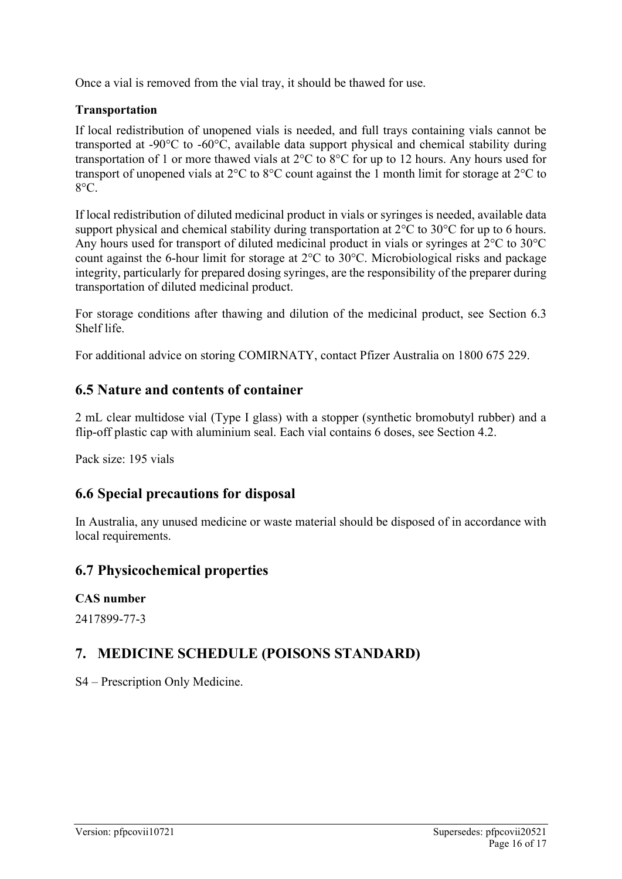Once a vial is removed from the vial tray, it should be thawed for use.

#### **Transportation**

If local redistribution of unopened vials is needed, and full trays containing vials cannot be transported at -90°C to -60°C, available data support physical and chemical stability during transportation of 1 or more thawed vials at 2°C to 8°C for up to 12 hours. Any hours used for transport of unopened vials at 2°C to 8°C count against the 1 month limit for storage at 2°C to 8°C.

If local redistribution of diluted medicinal product in vials or syringes is needed, available data support physical and chemical stability during transportation at 2°C to 30°C for up to 6 hours. Any hours used for transport of diluted medicinal product in vials or syringes at 2°C to 30°C count against the 6-hour limit for storage at 2°C to 30°C. Microbiological risks and package integrity, particularly for prepared dosing syringes, are the responsibility of the preparer during transportation of diluted medicinal product.

For storage conditions after thawing and dilution of the medicinal product, see Section 6.3 Shelf life.

For additional advice on storing COMIRNATY, contact Pfizer Australia on 1800 675 229.

# **6.5 Nature and contents of container**

2 mL clear multidose vial (Type I glass) with a stopper (synthetic bromobutyl rubber) and a flip-off plastic cap with aluminium seal. Each vial contains 6 doses, see Section 4.2.

Pack size: 195 vials

# **6.6 Special precautions for disposal**

In Australia, any unused medicine or waste material should be disposed of in accordance with local requirements.

### **6.7 Physicochemical properties**

### **CAS number**

2417899-77-3

# **7. MEDICINE SCHEDULE (POISONS STANDARD)**

S4 – Prescription Only Medicine.